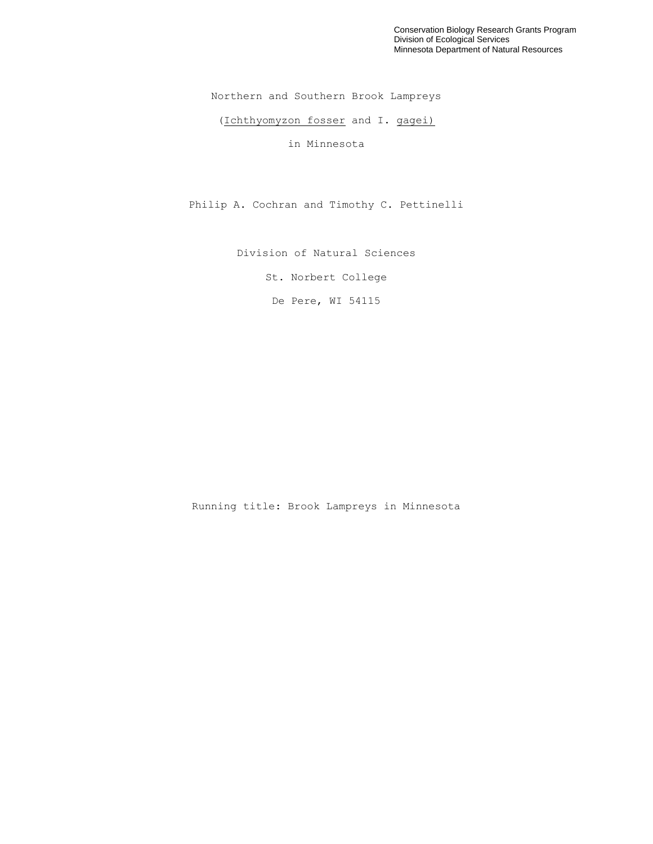Conservation Biology Research Grants Program Division of Ecological Services Minnesota Department of Natural Resources

Northern and Southern Brook Lampreys

(Ichthyomyzon fosser and I. gagei)

in Minnesota

Philip A. Cochran and Timothy C. Pettinelli

Division of Natural Sciences

St. Norbert College

De Pere, WI 54115

Running title: Brook Lampreys in Minnesota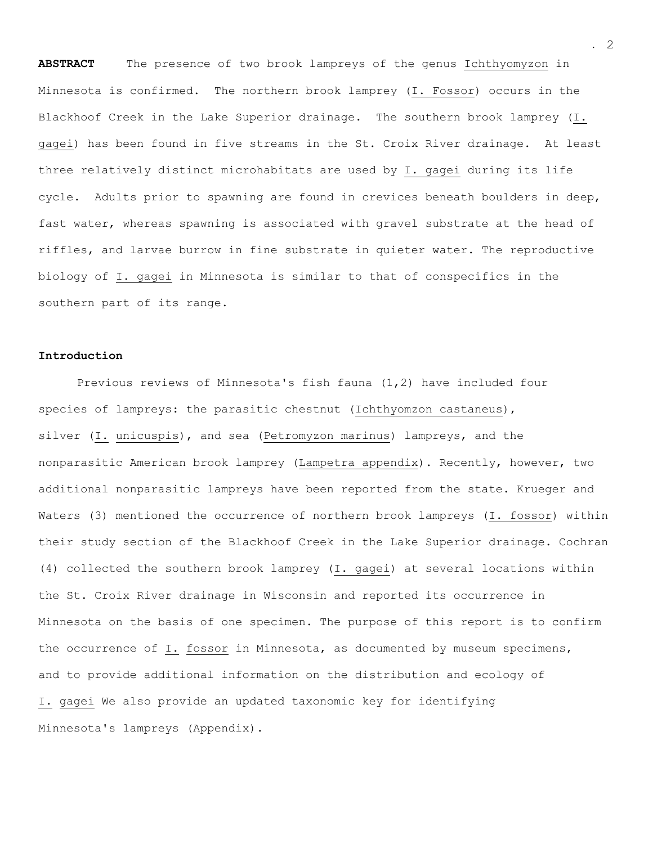**ABSTRACT** The presence of two brook lampreys of the genus Ichthyomyzon in Minnesota is confirmed. The northern brook lamprey (I. Fossor) occurs in the Blackhoof Creek in the Lake Superior drainage. The southern brook lamprey (I. gagei) has been found in five streams in the St. Croix River drainage. At least three relatively distinct microhabitats are used by I. gagei during its life cycle. Adults prior to spawning are found in crevices beneath boulders in deep, fast water, whereas spawning is associated with gravel substrate at the head of riffles, and larvae burrow in fine substrate in quieter water. The reproductive biology of I. gagei in Minnesota is similar to that of conspecifics in the southern part of its range.

### **Introduction**

Previous reviews of Minnesota's fish fauna (1,2) have included four species of lampreys: the parasitic chestnut (Ichthyomzon castaneus), silver (I. unicuspis), and sea (Petromyzon marinus) lampreys, and the nonparasitic American brook lamprey (Lampetra appendix). Recently, however, two additional nonparasitic lampreys have been reported from the state. Krueger and Waters (3) mentioned the occurrence of northern brook lampreys (I. fossor) within their study section of the Blackhoof Creek in the Lake Superior drainage. Cochran (4) collected the southern brook lamprey (I. gagei) at several locations within the St. Croix River drainage in Wisconsin and reported its occurrence in Minnesota on the basis of one specimen. The purpose of this report is to confirm the occurrence of I. fossor in Minnesota, as documented by museum specimens, and to provide additional information on the distribution and ecology of I. gagei We also provide an updated taxonomic key for identifying Minnesota's lampreys (Appendix).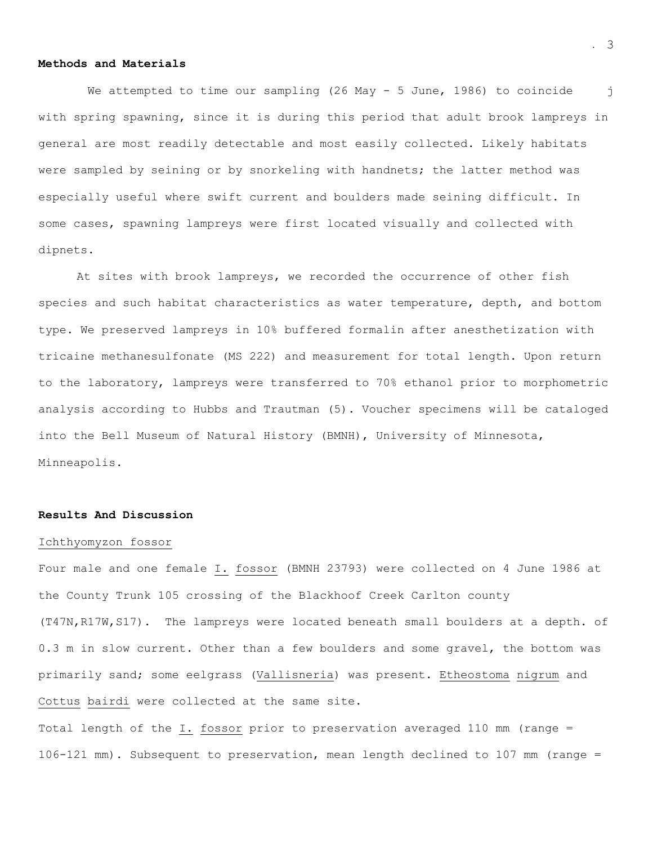## **Methods and Materials**

We attempted to time our sampling (26 May - 5 June, 1986) to coincide j with spring spawning, since it is during this period that adult brook lampreys in general are most readily detectable and most easily collected. Likely habitats were sampled by seining or by snorkeling with handnets; the latter method was especially useful where swift current and boulders made seining difficult. In some cases, spawning lampreys were first located visually and collected with dipnets.

At sites with brook lampreys, we recorded the occurrence of other fish species and such habitat characteristics as water temperature, depth, and bottom type. We preserved lampreys in 10% buffered formalin after anesthetization with tricaine methanesulfonate (MS 222) and measurement for total length. Upon return to the laboratory, lampreys were transferred to 70% ethanol prior to morphometric analysis according to Hubbs and Trautman (5). Voucher specimens will be cataloged into the Bell Museum of Natural History (BMNH), University of Minnesota, Minneapolis.

### **Results And Discussion**

#### Ichthyomyzon fossor

Four male and one female I. fossor (BMNH 23793) were collected on 4 June 1986 at the County Trunk 105 crossing of the Blackhoof Creek Carlton county (T47N,R17W,S17). The lampreys were located beneath small boulders at a depth. of 0.3 m in slow current. Other than a few boulders and some gravel, the bottom was primarily sand; some eelgrass (Vallisneria) was present. Etheostoma nigrum and Cottus bairdi were collected at the same site.

Total length of the I. fossor prior to preservation averaged 110 mm (range = 106-121 mm). Subsequent to preservation, mean length declined to 107 mm (range =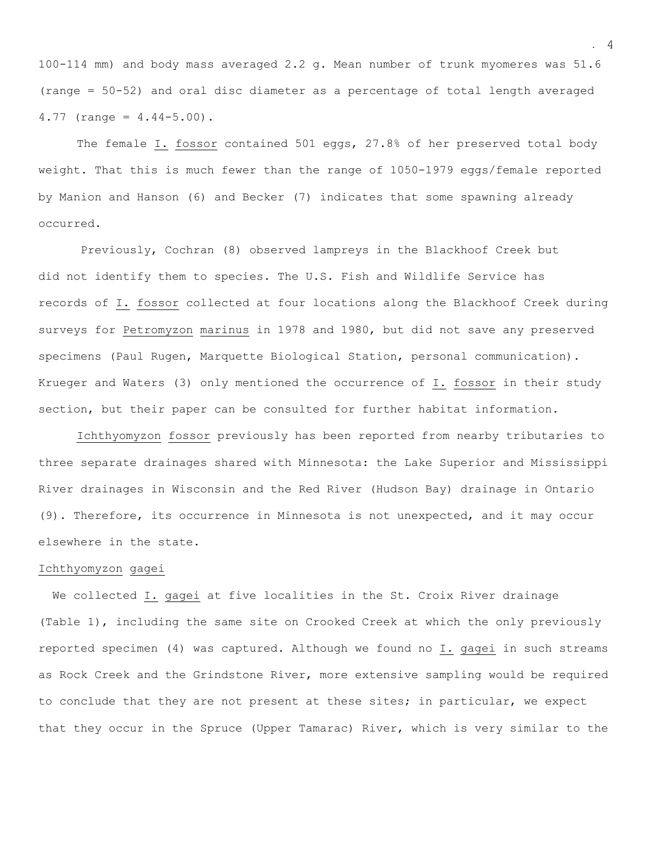100-114 mm) and body mass averaged 2.2 g. Mean number of trunk myomeres was 51.6 (range = 50-52) and oral disc diameter as a percentage of total length averaged  $4.77$  (range =  $4.44-5.00$ ).

The female I. fossor contained 501 eggs, 27.8% of her preserved total body weight. That this is much fewer than the range of 1050-1979 eggs/female reported by Manion and Hanson (6) and Becker (7) indicates that some spawning already occurred.

 Previously, Cochran (8) observed lampreys in the Blackhoof Creek but did not identify them to species. The U.S. Fish and Wildlife Service has records of I. fossor collected at four locations along the Blackhoof Creek during surveys for Petromyzon marinus in 1978 and 1980, but did not save any preserved specimens (Paul Rugen, Marquette Biological Station, personal communication). Krueger and Waters (3) only mentioned the occurrence of I. fossor in their study section, but their paper can be consulted for further habitat information.

Ichthyomyzon fossor previously has been reported from nearby tributaries to three separate drainages shared with Minnesota: the Lake Superior and Mississippi River drainages in Wisconsin and the Red River (Hudson Bay) drainage in Ontario (9). Therefore, its occurrence in Minnesota is not unexpected, and it may occur elsewhere in the state.

# Ichthyomyzon gagei

 We collected I. gagei at five localities in the St. Croix River drainage (Table 1), including the same site on Crooked Creek at which the only previously reported specimen (4) was captured. Although we found no I. gagei in such streams as Rock Creek and the Grindstone River, more extensive sampling would be required to conclude that they are not present at these sites; in particular, we expect that they occur in the Spruce (Upper Tamarac) River, which is very similar to the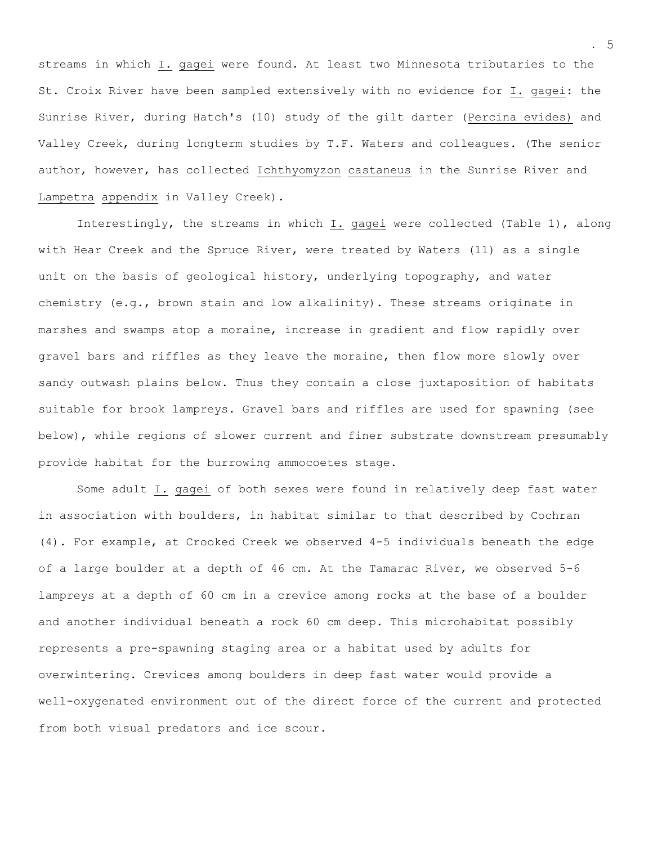streams in which I. gagei were found. At least two Minnesota tributaries to the St. Croix River have been sampled extensively with no evidence for I. gagei: the Sunrise River, during Hatch's (10) study of the gilt darter (Percina evides) and Valley Creek, during longterm studies by T.F. Waters and colleagues. (The senior author, however, has collected Ichthyomyzon castaneus in the Sunrise River and Lampetra appendix in Valley Creek).

Interestingly, the streams in which I. gagei were collected (Table 1), along with Hear Creek and the Spruce River, were treated by Waters (11) as a single unit on the basis of geological history, underlying topography, and water chemistry (e.g., brown stain and low alkalinity). These streams originate in marshes and swamps atop a moraine, increase in gradient and flow rapidly over gravel bars and riffles as they leave the moraine, then flow more slowly over sandy outwash plains below. Thus they contain a close juxtaposition of habitats suitable for brook lampreys. Gravel bars and riffles are used for spawning (see below), while regions of slower current and finer substrate downstream presumably provide habitat for the burrowing ammocoetes stage.

Some adult I. gagei of both sexes were found in relatively deep fast water in association with boulders, in habitat similar to that described by Cochran (4). For example, at Crooked Creek we observed 4-5 individuals beneath the edge of a large boulder at a depth of 46 cm. At the Tamarac River, we observed 5-6 lampreys at a depth of 60 cm in a crevice among rocks at the base of a boulder and another individual beneath a rock 60 cm deep. This microhabitat possibly represents a pre-spawning staging area or a habitat used by adults for overwintering. Crevices among boulders in deep fast water would provide a well-oxygenated environment out of the direct force of the current and protected from both visual predators and ice scour.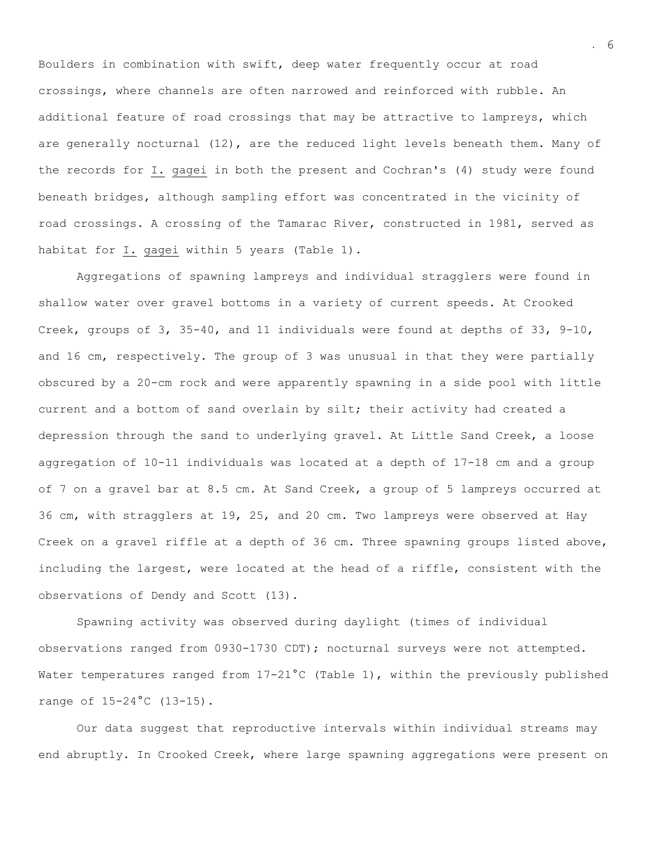Boulders in combination with swift, deep water frequently occur at road crossings, where channels are often narrowed and reinforced with rubble. An additional feature of road crossings that may be attractive to lampreys, which are generally nocturnal (12), are the reduced light levels beneath them. Many of the records for I. gagei in both the present and Cochran's (4) study were found beneath bridges, although sampling effort was concentrated in the vicinity of road crossings. A crossing of the Tamarac River, constructed in 1981, served as habitat for I. gagei within 5 years (Table 1).

Aggregations of spawning lampreys and individual stragglers were found in shallow water over gravel bottoms in a variety of current speeds. At Crooked Creek, groups of 3, 35-40, and 11 individuals were found at depths of 33, 9-10, and 16 cm, respectively. The group of 3 was unusual in that they were partially obscured by a 20-cm rock and were apparently spawning in a side pool with little current and a bottom of sand overlain by silt; their activity had created a depression through the sand to underlying gravel. At Little Sand Creek, a loose aggregation of 10-11 individuals was located at a depth of 17-18 cm and a group of 7 on a gravel bar at 8.5 cm. At Sand Creek, a group of 5 lampreys occurred at 36 cm, with stragglers at 19, 25, and 20 cm. Two lampreys were observed at Hay Creek on a gravel riffle at a depth of 36 cm. Three spawning groups listed above, including the largest, were located at the head of a riffle, consistent with the observations of Dendy and Scott (13).

Spawning activity was observed during daylight (times of individual observations ranged from 0930-1730 CDT); nocturnal surveys were not attempted. Water temperatures ranged from 17-21°C (Table 1), within the previously published range of 15-24°C (13-15).

Our data suggest that reproductive intervals within individual streams may end abruptly. In Crooked Creek, where large spawning aggregations were present on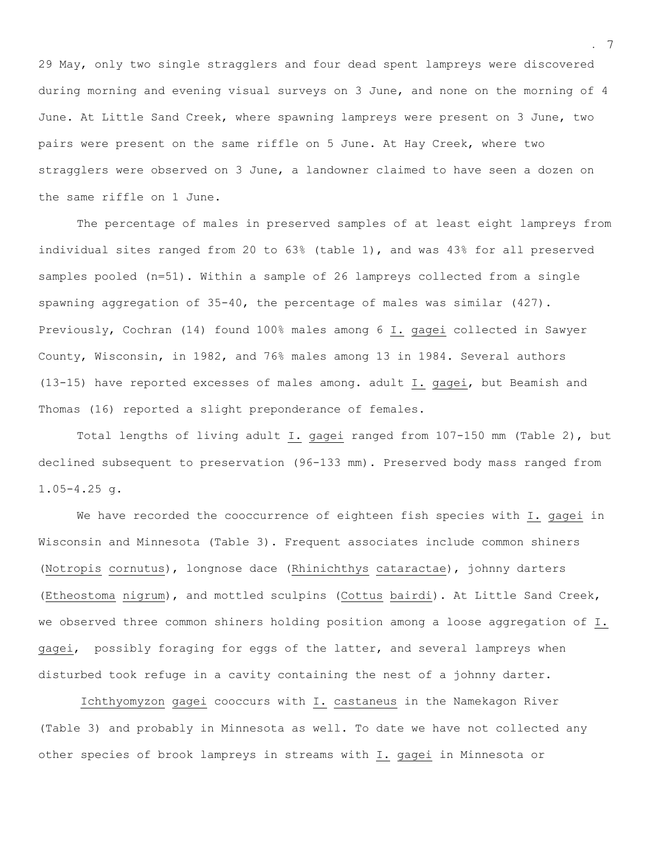29 May, only two single stragglers and four dead spent lampreys were discovered during morning and evening visual surveys on 3 June, and none on the morning of 4 June. At Little Sand Creek, where spawning lampreys were present on 3 June, two pairs were present on the same riffle on 5 June. At Hay Creek, where two stragglers were observed on 3 June, a landowner claimed to have seen a dozen on the same riffle on 1 June.

 The percentage of males in preserved samples of at least eight lampreys from individual sites ranged from 20 to 63% (table 1), and was 43% for all preserved samples pooled (n=51). Within a sample of 26 lampreys collected from a single spawning aggregation of 35-40, the percentage of males was similar (427). Previously, Cochran (14) found 100% males among 6 I. gagei collected in Sawyer County, Wisconsin, in 1982, and 76% males among 13 in 1984. Several authors (13-15) have reported excesses of males among. adult I. gagei, but Beamish and Thomas (16) reported a slight preponderance of females.

Total lengths of living adult I. gagei ranged from 107-150 mm (Table 2), but declined subsequent to preservation (96-133 mm). Preserved body mass ranged from 1.05-4.25 g.

We have recorded the cooccurrence of eighteen fish species with I. gagei in Wisconsin and Minnesota (Table 3). Frequent associates include common shiners (Notropis cornutus), longnose dace (Rhinichthys cataractae), johnny darters (Etheostoma nigrum), and mottled sculpins (Cottus bairdi). At Little Sand Creek, we observed three common shiners holding position among a loose aggregation of I. gagei, possibly foraging for eggs of the latter, and several lampreys when disturbed took refuge in a cavity containing the nest of a johnny darter.

 Ichthyomyzon gagei cooccurs with I. castaneus in the Namekagon River (Table 3) and probably in Minnesota as well. To date we have not collected any other species of brook lampreys in streams with I. gagei in Minnesota or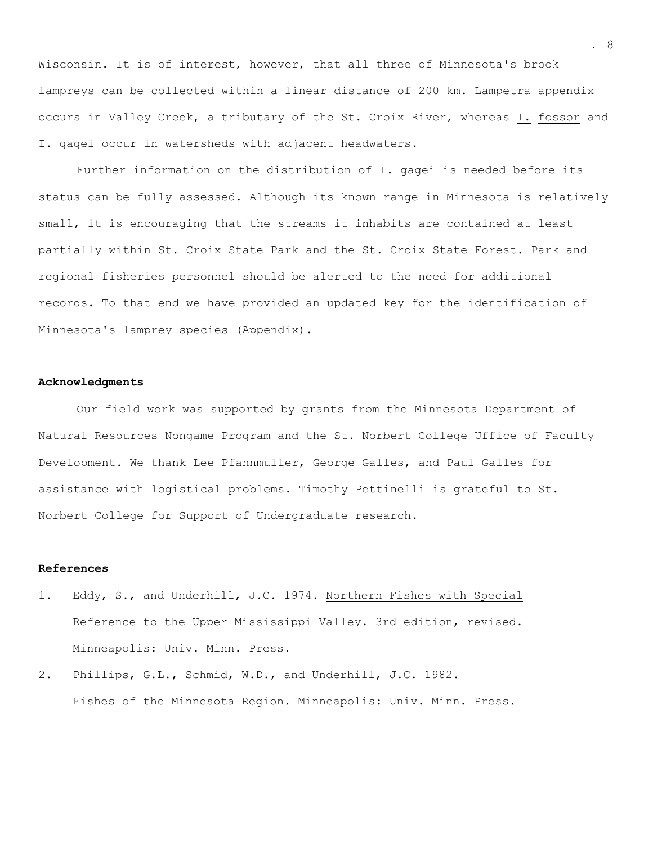Wisconsin. It is of interest, however, that all three of Minnesota's brook lampreys can be collected within a linear distance of 200 km. Lampetra appendix occurs in Valley Creek, a tributary of the St. Croix River, whereas I. fossor and I. gagei occur in watersheds with adjacent headwaters.

Further information on the distribution of I. gagei is needed before its status can be fully assessed. Although its known range in Minnesota is relatively small, it is encouraging that the streams it inhabits are contained at least partially within St. Croix State Park and the St. Croix State Forest. Park and regional fisheries personnel should be alerted to the need for additional records. To that end we have provided an updated key for the identification of Minnesota's lamprey species (Appendix).

### **Acknowledgments**

Our field work was supported by grants from the Minnesota Department of Natural Resources Nongame Program and the St. Norbert College Uffice of Faculty Development. We thank Lee Pfannmuller, George Galles, and Paul Galles for assistance with logistical problems. Timothy Pettinelli is grateful to St. Norbert College for Support of Undergraduate research.

## **References**

- 1. Eddy, S., and Underhill, J.C. 1974. Northern Fishes with Special Reference to the Upper Mississippi Valley. 3rd edition, revised. Minneapolis: Univ. Minn. Press.
- 2. Phillips, G.L., Schmid, W.D., and Underhill, J.C. 1982. Fishes of the Minnesota Region. Minneapolis: Univ. Minn. Press.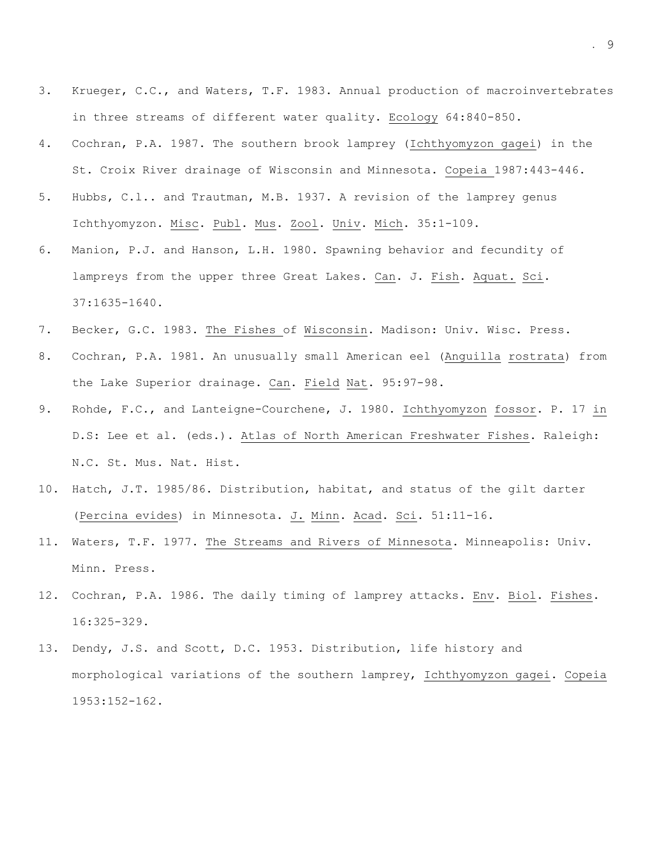- 3. Krueger, C.C., and Waters, T.F. 1983. Annual production of macroinvertebrates in three streams of different water quality. Ecology 64:840-850.
- 4. Cochran, P.A. 1987. The southern brook lamprey (Ichthyomyzon gagei) in the St. Croix River drainage of Wisconsin and Minnesota. Copeia 1987:443-446.
- 5. Hubbs, C.l.. and Trautman, M.B. 1937. A revision of the lamprey genus Ichthyomyzon. Misc. Publ. Mus. Zool. Univ. Mich. 35:1-109.
- 6. Manion, P.J. and Hanson, L.H. 1980. Spawning behavior and fecundity of lampreys from the upper three Great Lakes. Can. J. Fish. Aquat. Sci. 37:1635-1640.
- 7. Becker, G.C. 1983. The Fishes of Wisconsin. Madison: Univ. Wisc. Press.
- 8. Cochran, P.A. 1981. An unusually small American eel (Anguilla rostrata) from the Lake Superior drainage. Can. Field Nat. 95:97-98.
- 9. Rohde, F.C., and Lanteigne-Courchene, J. 1980. Ichthyomyzon fossor. P. 17 in D.S: Lee et al. (eds.). Atlas of North American Freshwater Fishes. Raleigh: N.C. St. Mus. Nat. Hist.
- 10. Hatch, J.T. 1985/86. Distribution, habitat, and status of the gilt darter (Percina evides) in Minnesota. J. Minn. Acad. Sci. 51:11-16.
- 11. Waters, T.F. 1977. The Streams and Rivers of Minnesota. Minneapolis: Univ. Minn. Press.
- 12. Cochran, P.A. 1986. The daily timing of lamprey attacks. Env. Biol. Fishes. 16:325-329.
- 13. Dendy, J.S. and Scott, D.C. 1953. Distribution, life history and morphological variations of the southern lamprey, Ichthyomyzon gagei. Copeia 1953:152-162.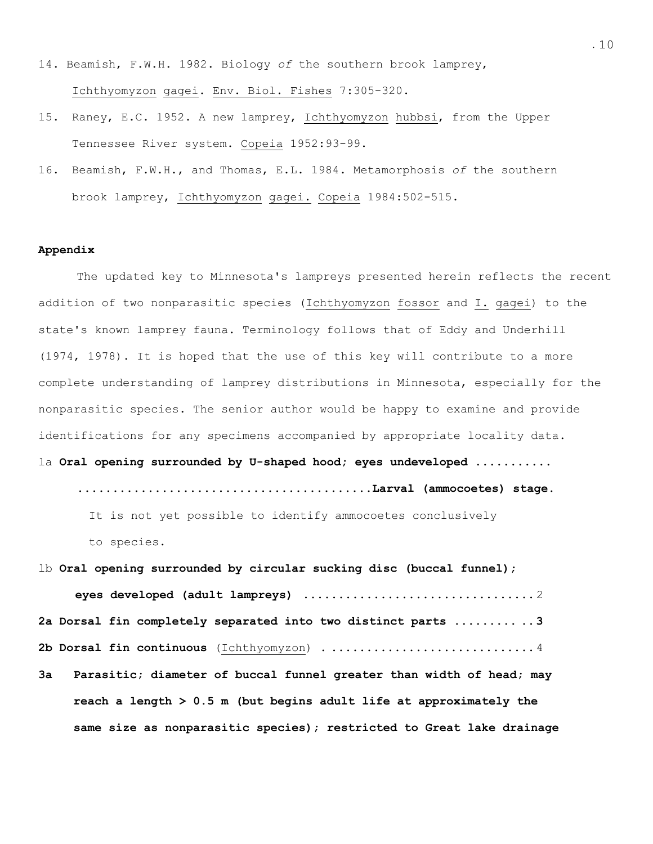- 14. Beamish, F.W.H. 1982. Biology *of* the southern brook lamprey, Ichthyomyzon gagei. Env. Biol. Fishes 7:305-320.
- 15. Raney, E.C. 1952. A new lamprey, Ichthyomyzon hubbsi, from the Upper Tennessee River system. Copeia 1952:93-99.
- 16. Beamish, F.W.H., and Thomas, E.L. 1984. Metamorphosis *of* the southern brook lamprey, Ichthyomyzon gagei. Copeia 1984:502-515.

### **Appendix**

The updated key to Minnesota's lampreys presented herein reflects the recent addition of two nonparasitic species (Ichthyomyzon fossor and I. gagei) to the state's known lamprey fauna. Terminology follows that of Eddy and Underhill (1974, 1978). It is hoped that the use of this key will contribute to a more complete understanding of lamprey distributions in Minnesota, especially for the nonparasitic species. The senior author would be happy to examine and provide identifications for any specimens accompanied by appropriate locality data. la **Oral opening surrounded by U-shaped hood; eyes undeveloped ........... ..........................................Larval (ammocoetes) stage.** 

It is not yet possible to identify ammocoetes conclusively

to species.

lb **Oral opening surrounded by circular sucking disc (buccal funnel);** 

 **eyes developed (adult lampreys) .................................**2 **2a Dorsal fin completely separated into two distinct parts ......... .. 3 2b Dorsal fin continuous** (Ichthyomyzon) . ............................. 4

**3a Parasitic; diameter of buccal funnel greater than width of head; may reach a length > 0.5 m (but begins adult life at approximately the same size as nonparasitic species); restricted to Great lake drainage**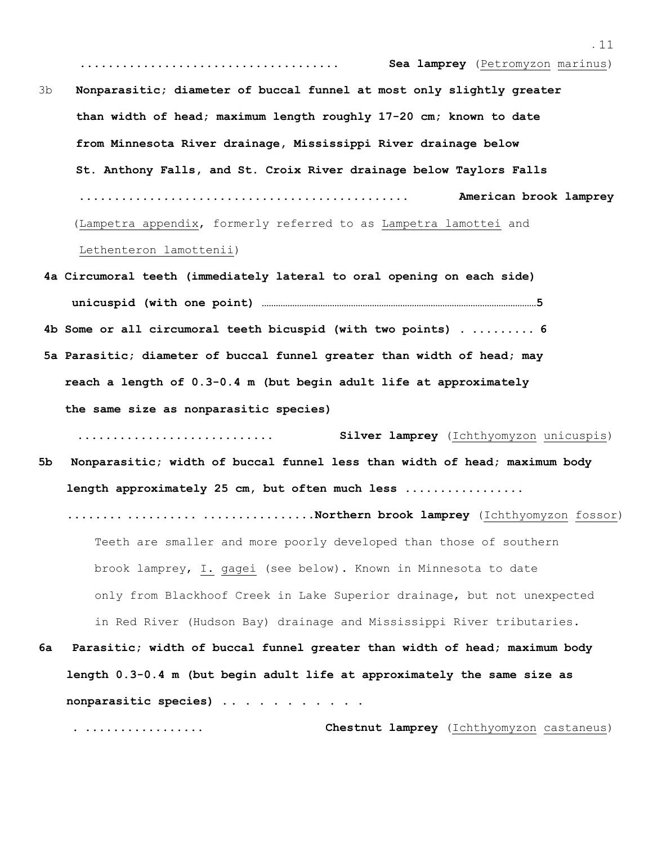..................................... **Sea lamprey** (Petromyzon marinus) 3b **Nonparasitic; diameter of buccal funnel at most only slightly greater than width of head; maximum length roughly 17-20 cm; known to date from Minnesota River drainage, Mississippi River drainage below St. Anthony Falls, and St. Croix River drainage below Taylors Falls ............................................... American brook lamprey**  (Lampetra appendix, formerly referred to as Lampetra lamottei and Lethenteron lamottenii)

**4a Circumoral teeth (immediately lateral to oral opening on each side) unicuspid (with one point) ………………………………………………………………………………………………………5 4b Some or all circumoral teeth bicuspid (with two points) . ......... 6 5a Parasitic; diameter of buccal funnel greater than width of head; may reach a length of 0.3-0.4 m (but begin adult life at approximately the same size as nonparasitic species)** 

 **............................ Silver lamprey** (Ichthyomyzon unicuspis) **5b Nonparasitic; width of buccal funnel less than width of head; maximum body** 

 **length approximately 25 cm, but often much less .................** 

 **........ .......... ................Northern brook lamprey** (Ichthyomyzon fossor) Teeth are smaller and more poorly developed than those of southern brook lamprey, I. gagei (see below). Known in Minnesota to date only from Blackhoof Creek in Lake Superior drainage, but not unexpected in Red River (Hudson Bay) drainage and Mississippi River tributaries.

**6a Parasitic; width of buccal funnel greater than width of head; maximum body length 0.3-0.4 m (but begin adult life at approximately the same size as nonparasitic species) . . . . . . . . . . .**

 **. ................. Chestnut lamprey** (Ichthyomyzon castaneus)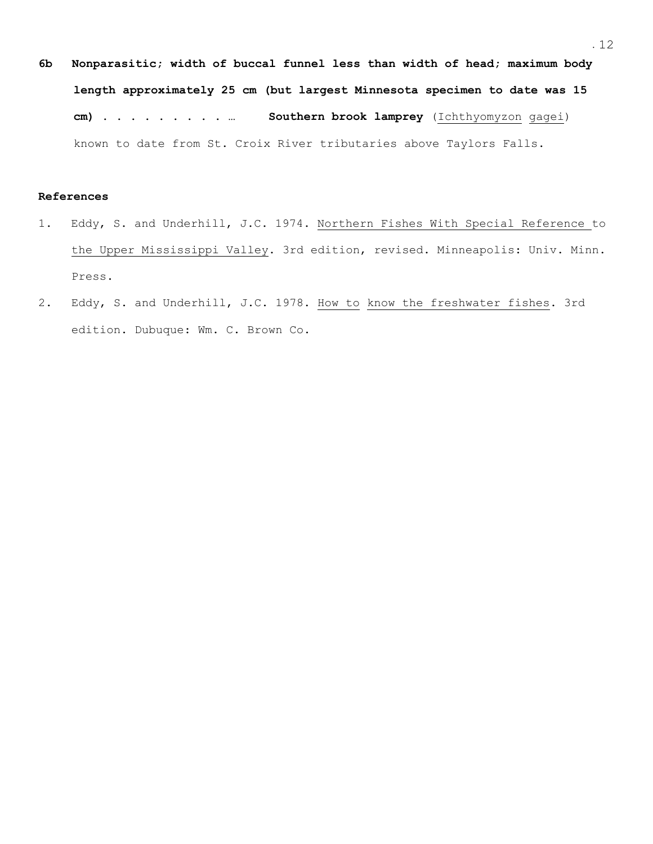**6b Nonparasitic; width of buccal funnel less than width of head; maximum body length approximately 25 cm (but largest Minnesota specimen to date was 15 cm) . . . . . . . . . … Southern brook lamprey** (Ichthyomyzon gagei) known to date from St. Croix River tributaries above Taylors Falls.

## **References**

- 1. Eddy, S. and Underhill, J.C. 1974. Northern Fishes With Special Reference to the Upper Mississippi Valley. 3rd edition, revised. Minneapolis: Univ. Minn. Press.
- 2. Eddy, S. and Underhill, J.C. 1978. How to know the freshwater fishes. 3rd edition. Dubuque: Wm. C. Brown Co.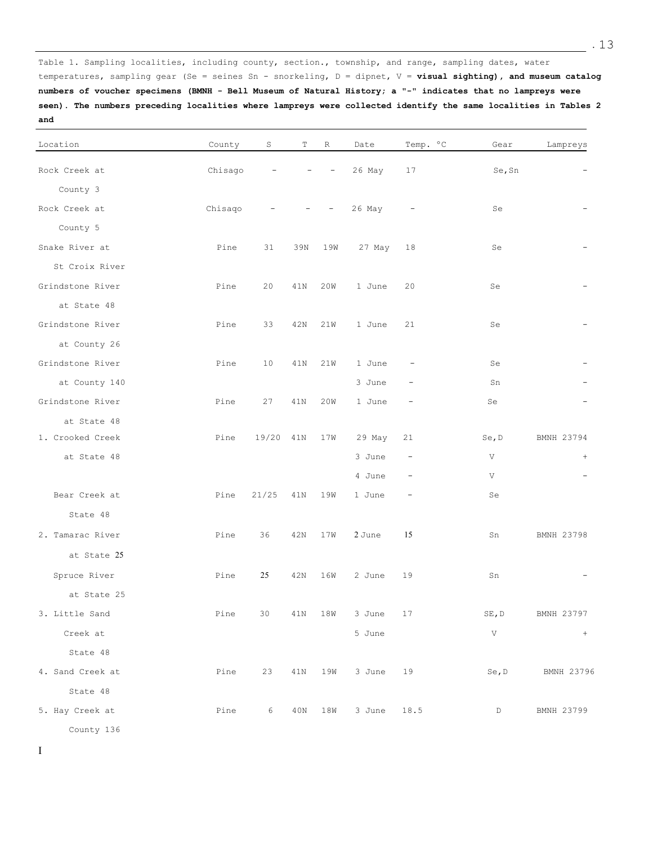Table 1. Sampling localities, including county, section., township, and range, sampling dates, water temperatures, sampling gear (Se = seines Sn - snorkeling, D = dipnet, V = **visual sighting), and museum catalog numbers of voucher specimens (BMNH - Bell Museum of Natural History; a "-" indicates that no lampreys were seen). The numbers preceding localities where lampreys were collected identify the same localities in Tables 2 and** 

| Location         | County  | S                        | Т   | R                                       | Date        | Temp. °C                 | Gear            | Lampreys   |
|------------------|---------|--------------------------|-----|-----------------------------------------|-------------|--------------------------|-----------------|------------|
| Rock Creek at    | Chisago | $\overline{\phantom{a}}$ | $-$ | $\overline{\phantom{a}}$                | 26 May      | 17                       | Se, Sn          |            |
| County 3         |         |                          |     |                                         |             |                          |                 |            |
| Rock Creek at    | Chisago | $\overline{\phantom{a}}$ |     | $\sim 1000$<br>$\overline{\phantom{a}}$ | 26 May      | $\overline{\phantom{a}}$ | Se              |            |
| County 5         |         |                          |     |                                         |             |                          |                 |            |
| Snake River at   | Pine    | 31                       | 39N | 19W                                     | 27 May      | 18                       | Se              |            |
| St Croix River   |         |                          |     |                                         |             |                          |                 |            |
| Grindstone River | Pine    | 20                       | 41N | 20W                                     | 1 June      | 20                       | Se              |            |
| at State 48      |         |                          |     |                                         |             |                          |                 |            |
| Grindstone River | Pine    | 33                       | 42N | 21W                                     | 1 June      | 21                       | Se              |            |
| at County 26     |         |                          |     |                                         |             |                          |                 |            |
| Grindstone River | Pine    | 10                       | 41N | 21W                                     | 1 June      | $\qquad \qquad -$        | Se              |            |
| at County 140    |         |                          |     |                                         | 3 June      | $\overline{\phantom{0}}$ | Sn              |            |
| Grindstone River | Pine    | 27                       | 41N | 20W                                     | 1 June      | $\qquad \qquad -$        | Se              |            |
| at State 48      |         |                          |     |                                         |             |                          |                 |            |
| 1. Crooked Creek | Pine    | 19/20 41N                |     | 17W                                     | 29 May      | 21                       | Se, D           | BMNH 23794 |
| at State 48      |         |                          |     |                                         | 3 June      | $\overline{\phantom{m}}$ | V               | $^{+}$     |
|                  |         |                          |     |                                         | 4 June      | $\overline{\phantom{a}}$ | V               |            |
| Bear Creek at    | Pine    | 21/25                    | 41N | 19W                                     | 1 June      | $\overline{\phantom{m}}$ | Se              |            |
| State 48         |         |                          |     |                                         |             |                          |                 |            |
| 2. Tamarac River | Pine    | 36                       | 42N | 17W                                     | 2 June      | 15                       | Sn              | BMNH 23798 |
| at State 25      |         |                          |     |                                         |             |                          |                 |            |
| Spruce River     | Pine    | 25                       | 42N | 16W                                     | 2 June      | 19                       | Sn              |            |
| at State 25      |         |                          |     |                                         |             |                          |                 |            |
| 3. Little Sand   | Pine    | 30                       | 41N |                                         | 18W 3 June  | 17                       | $\texttt{SE,D}$ | BMNH 23797 |
| Creek at         |         |                          |     |                                         | 5 June      |                          | V               | $+$        |
| State 48         |         |                          |     |                                         |             |                          |                 |            |
| 4. Sand Creek at | Pine    | 23                       | 41N | 19W                                     | 3 June      | 19                       | Se, D           | BMNH 23796 |
| State 48         |         |                          |     |                                         |             |                          |                 |            |
| 5. Hay Creek at  | Pine    | $6\degree$               |     | 40N 18W                                 | 3 June 18.5 |                          | D               | BMNH 23799 |
| County 136       |         |                          |     |                                         |             |                          |                 |            |

I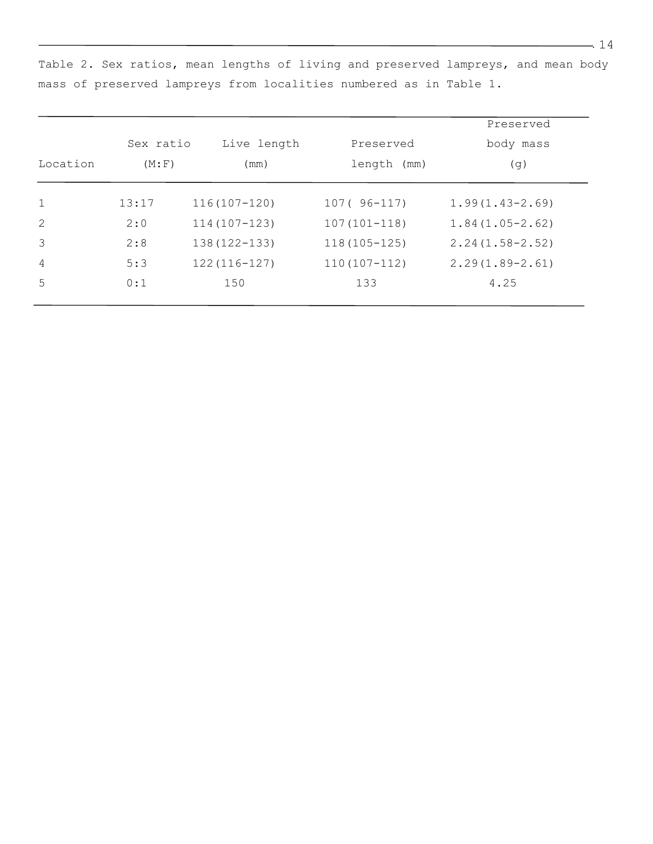|           |        |                  |                  | Preserved           |  |  |
|-----------|--------|------------------|------------------|---------------------|--|--|
| Sex ratio |        | Live length      | Preserved        | body mass           |  |  |
| Location  | (M; F) | (mm)             | length (mm)      | (g)                 |  |  |
| 1         | 13:17  | $116(107 - 120)$ | $107(96-117)$    | $1.99(1.43 - 2.69)$ |  |  |
| 2         | 2:0    | $114(107 - 123)$ | $107(101 - 118)$ | $1.84(1.05-2.62)$   |  |  |
| 3         | 2:8    | $138(122 - 133)$ | $118(105 - 125)$ | $2.24(1.58 - 2.52)$ |  |  |
| 4         | 5:3    | $122(116-127)$   | $110(107 - 112)$ | $2.29(1.89 - 2.61)$ |  |  |
| 5         | 0:1    | 150              | 133              | 4.25                |  |  |

Table 2. Sex ratios, mean lengths of living and preserved lampreys, and mean body mass of preserved lampreys from localities numbered as in Table 1.